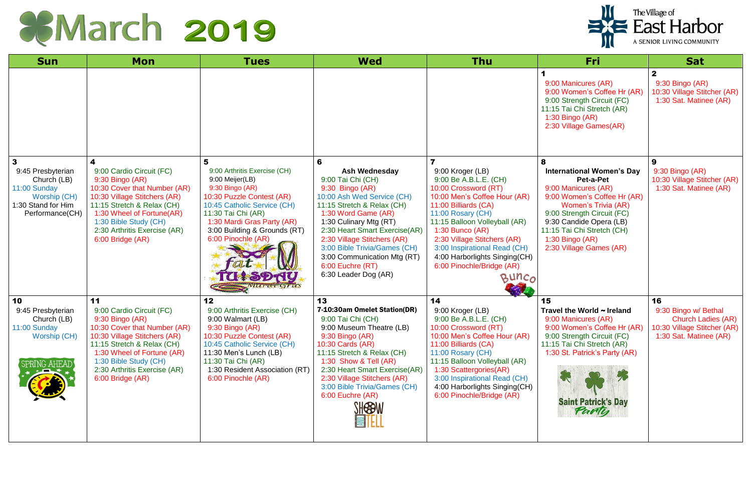## COMarch 2019

| <b>Sun</b>                                                                                                                | <b>Mon</b>                                                                                                                                                                                                                                                 | <b>Tues</b>                                                                                                                                                                                                                                                                   | <b>Wed</b>                                                                                                                                                                                                                                                                                                                                         | <b>Thu</b>                                                                                                                                                                                                                                                                                                                                                      | Fri                                                                                                                                                                                                                                                                         | <b>Sat</b>                                                                                                       |
|---------------------------------------------------------------------------------------------------------------------------|------------------------------------------------------------------------------------------------------------------------------------------------------------------------------------------------------------------------------------------------------------|-------------------------------------------------------------------------------------------------------------------------------------------------------------------------------------------------------------------------------------------------------------------------------|----------------------------------------------------------------------------------------------------------------------------------------------------------------------------------------------------------------------------------------------------------------------------------------------------------------------------------------------------|-----------------------------------------------------------------------------------------------------------------------------------------------------------------------------------------------------------------------------------------------------------------------------------------------------------------------------------------------------------------|-----------------------------------------------------------------------------------------------------------------------------------------------------------------------------------------------------------------------------------------------------------------------------|------------------------------------------------------------------------------------------------------------------|
|                                                                                                                           |                                                                                                                                                                                                                                                            |                                                                                                                                                                                                                                                                               |                                                                                                                                                                                                                                                                                                                                                    |                                                                                                                                                                                                                                                                                                                                                                 | 9:00 Manicures (AR)<br>9:00 Women's Coffee Hr (AR)<br>9:00 Strength Circuit (FC)<br>11:15 Tai Chi Stretch (AR)<br>1:30 Bingo (AR)<br>2:30 Village Games(AR)                                                                                                                 | $\mathbf{2}$<br>9:30 Bingo (AR)<br>10:30 Village Stitcher (AR)<br>1:30 Sat. Matinee (AR)                         |
| $\mathbf{3}$<br>9:45 Presbyterian<br>Church (LB)<br>11:00 Sunday<br>Worship (CH)<br>1:30 Stand for Him<br>Performance(CH) | 4<br>9:00 Cardio Circuit (FC)<br>9:30 Bingo (AR)<br>10:30 Cover that Number (AR)<br>10:30 Village Stitchers (AR)<br>11:15 Stretch & Relax (CH)<br>1:30 Wheel of Fortune(AR)<br>1:30 Bible Study (CH)<br>2:30 Arthritis Exercise (AR)<br>6:00 Bridge (AR)   | 5<br>9:00 Arthritis Exercise (CH)<br>9:00 Meijer(LB)<br>9:30 Bingo (AR)<br>10:30 Puzzle Contest (AR)<br>10:45 Catholic Service (CH)<br>11:30 Tai Chi (AR)<br>1:30 Mardi Gras Party (AR)<br>3:00 Building & Grounds (RT)<br>6:00 Pinochle (AR)<br><b>U+SDAY</b><br>Marcti Gras | 6<br>Ash Wednesday<br>9:00 Tai Chi (CH)<br>9:30 Bingo (AR)<br>10:00 Ash Wed Service (CH)<br>11:15 Stretch & Relax (CH)<br>1:30 Word Game (AR)<br>1:30 Culinary Mtg (RT)<br>2:30 Heart Smart Exercise(AR)<br>2:30 Village Stitchers (AR)<br>3:00 Bible Trivia/Games (CH)<br>3:00 Communication Mtg (RT)<br>6:00 Euchre (RT)<br>6:30 Leader Dog (AR) | 9:00 Kroger (LB)<br>9:00 Be A.B.L.E. (CH)<br>10:00 Crossword (RT)<br>10:00 Men's Coffee Hour (AR)<br>11:00 Billiards (CA)<br>11:00 Rosary (CH)<br>11:15 Balloon Volleyball (AR)<br>$1:30$ Bunco (AR)<br>2:30 Village Stitchers (AR)<br>3:00 Inspirational Read (CH)<br>4:00 Harborlights Singing(CH)<br>6:00 Pinochle/Bridge (AR)<br>BUNCO<br><b>CONTRACTOR</b> | 8<br><b>International Women's Day</b><br>Pet-a-Pet<br>9:00 Manicures (AR)<br>9:00 Women's Coffee Hr (AR)<br><b>Women's Trivia (AR)</b><br>9:00 Strength Circuit (FC)<br>9:30 Candide Opera (LB)<br>11:15 Tai Chi Stretch (CH)<br>1:30 Bingo (AR)<br>2:30 Village Games (AR) | 9<br>9:30 Bingo (AR)<br>10:30 Village Stitcher (AR)<br>1:30 Sat. Matinee (AR)                                    |
| 10<br>9:45 Presbyterian<br>Church (LB)<br>11:00 Sunday<br>Worship (CH)<br><b>SPRING AHEAD</b>                             | 11<br>9:00 Cardio Circuit (FC)<br>9:30 Bingo (AR)<br>10:30 Cover that Number (AR)<br>10:30 Village Stitchers (AR)<br>11:15 Stretch & Relax (CH)<br>1:30 Wheel of Fortune (AR)<br>1:30 Bible Study (CH)<br>2:30 Arthritis Exercise (AR)<br>6:00 Bridge (AR) | 12<br>9:00 Arthritis Exercise (CH)<br>9:00 Walmart (LB)<br>9:30 Bingo (AR)<br>10:30 Puzzle Contest (AR)<br>10:45 Catholic Service (CH)<br>11:30 Men's Lunch (LB)<br>11:30 Tai Chi (AR)<br>1:30 Resident Association (RT)<br>6:00 Pinochle (AR)                                | 13<br>7-10:30am Omelet Station(DR)<br>9:00 Tai Chi (CH)<br>9:00 Museum Theatre (LB)<br>9:30 Bingo (AR)<br>10:30 Cards (AR)<br>11:15 Stretch & Relax (CH)<br>1:30 Show & Tell $(AR)$<br>2:30 Heart Smart Exercise(AR)<br>2:30 Village Stitchers (AR)<br>3:00 Bible Trivia/Games (CH)<br>6:00 Euchre (AR)<br><b>SHESBW</b><br><b>EILLI</b>           | 14<br>9:00 Kroger (LB)<br>9:00 Be A.B.L.E. (CH)<br>10:00 Crossword (RT)<br>10:00 Men's Coffee Hour (AR)<br>11:00 Billiards (CA)<br>11:00 Rosary (CH)<br>11:15 Balloon Volleyball (AR)<br>1:30 Scattergories(AR)<br>3:00 Inspirational Read (CH)<br>4:00 Harborlights Singing(CH)<br>6:00 Pinochle/Bridge (AR)                                                   | 15<br>Travel the World $\sim$ Ireland<br>9:00 Manicures (AR)<br>9:00 Women's Coffee Hr (AR)<br>9:00 Strength Circuit (FC)<br>11:15 Tai Chi Stretch (AR)<br>1:30 St. Patrick's Party (AR)<br><b>Saint Patrick's Day</b><br>Party                                             | 16<br>9:30 Bingo w/ Bethal<br><b>Church Ladies (AR)</b><br>10:30 Village Stitcher (AR)<br>1:30 Sat. Matinee (AR) |